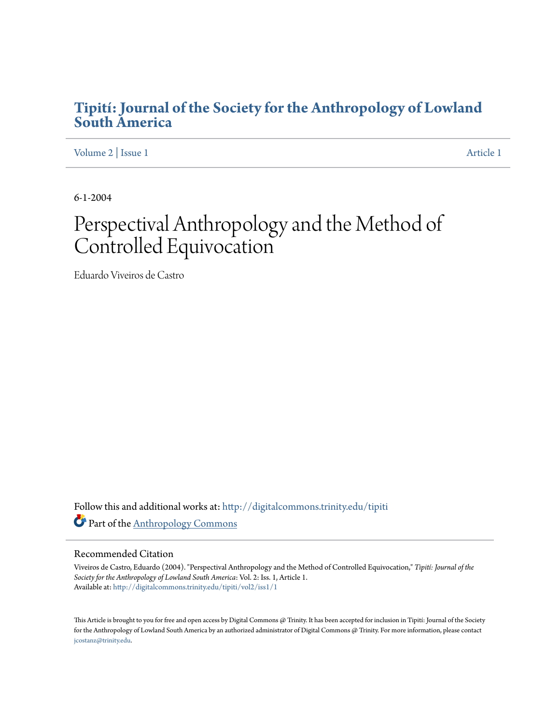# **[Tipití: Journal of the Society for the Anthropology of Lowland](http://digitalcommons.trinity.edu/tipiti?utm_source=digitalcommons.trinity.edu%2Ftipiti%2Fvol2%2Fiss1%2F1&utm_medium=PDF&utm_campaign=PDFCoverPages) [South America](http://digitalcommons.trinity.edu/tipiti?utm_source=digitalcommons.trinity.edu%2Ftipiti%2Fvol2%2Fiss1%2F1&utm_medium=PDF&utm_campaign=PDFCoverPages)**

[Volume 2](http://digitalcommons.trinity.edu/tipiti/vol2?utm_source=digitalcommons.trinity.edu%2Ftipiti%2Fvol2%2Fiss1%2F1&utm_medium=PDF&utm_campaign=PDFCoverPages) | [Issue 1](http://digitalcommons.trinity.edu/tipiti/vol2/iss1?utm_source=digitalcommons.trinity.edu%2Ftipiti%2Fvol2%2Fiss1%2F1&utm_medium=PDF&utm_campaign=PDFCoverPages) [Article 1](http://digitalcommons.trinity.edu/tipiti/vol2/iss1/1?utm_source=digitalcommons.trinity.edu%2Ftipiti%2Fvol2%2Fiss1%2F1&utm_medium=PDF&utm_campaign=PDFCoverPages)

6-1-2004

# Perspectival Anthropology and the Method of Controlled Equivocation

Eduardo Viveiros de Castro

Follow this and additional works at: [http://digitalcommons.trinity.edu/tipiti](http://digitalcommons.trinity.edu/tipiti?utm_source=digitalcommons.trinity.edu%2Ftipiti%2Fvol2%2Fiss1%2F1&utm_medium=PDF&utm_campaign=PDFCoverPages) Part of the [Anthropology Commons](http://network.bepress.com/hgg/discipline/318?utm_source=digitalcommons.trinity.edu%2Ftipiti%2Fvol2%2Fiss1%2F1&utm_medium=PDF&utm_campaign=PDFCoverPages)

#### Recommended Citation

Viveiros de Castro, Eduardo (2004). "Perspectival Anthropology and the Method of Controlled Equivocation," *Tipití: Journal of the Society for the Anthropology of Lowland South America*: Vol. 2: Iss. 1, Article 1. Available at: [http://digitalcommons.trinity.edu/tipiti/vol2/iss1/1](http://digitalcommons.trinity.edu/tipiti/vol2/iss1/1?utm_source=digitalcommons.trinity.edu%2Ftipiti%2Fvol2%2Fiss1%2F1&utm_medium=PDF&utm_campaign=PDFCoverPages)

This Article is brought to you for free and open access by Digital Commons @ Trinity. It has been accepted for inclusion in Tipití: Journal of the Society for the Anthropology of Lowland South America by an authorized administrator of Digital Commons @ Trinity. For more information, please contact [jcostanz@trinity.edu.](mailto:jcostanz@trinity.edu)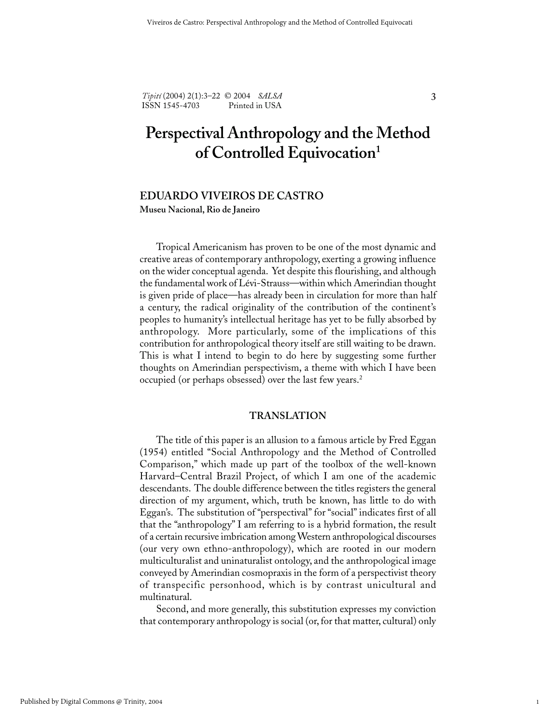*Tipití* (2004) 2(1):3–22 © 2004 *SALSA* **3** ISSN 1545-4703

# **Perspectival Anthropology and the Method of Controlled Equivocation1**

# **EDUARDO VIVEIROS DE CASTRO**

**Museu Nacional, Rio de Janeiro**

Tropical Americanism has proven to be one of the most dynamic and creative areas of contemporary anthropology, exerting a growing influence on the wider conceptual agenda. Yet despite this flourishing, and although the fundamental work of Lévi-Strauss—within which Amerindian thought is given pride of place—has already been in circulation for more than half a century, the radical originality of the contribution of the continent's peoples to humanity's intellectual heritage has yet to be fully absorbed by anthropology. More particularly, some of the implications of this contribution for anthropological theory itself are still waiting to be drawn. This is what I intend to begin to do here by suggesting some further thoughts on Amerindian perspectivism, a theme with which I have been occupied (or perhaps obsessed) over the last few years.<sup>2</sup>

#### **TRANSLATION**

The title of this paper is an allusion to a famous article by Fred Eggan (1954) entitled "Social Anthropology and the Method of Controlled Comparison," which made up part of the toolbox of the well-known Harvard–Central Brazil Project, of which I am one of the academic descendants. The double difference between the titles registers the general direction of my argument, which, truth be known, has little to do with Eggan's. The substitution of "perspectival" for "social" indicates first of all that the "anthropology" I am referring to is a hybrid formation, the result of a certain recursive imbrication among Western anthropological discourses (our very own ethno-anthropology), which are rooted in our modern multiculturalist and uninaturalist ontology, and the anthropological image conveyed by Amerindian cosmopraxis in the form of a perspectivist theory of transpecific personhood, which is by contrast unicultural and multinatural.

Second, and more generally, this substitution expresses my conviction that contemporary anthropology is social (or, for that matter, cultural) only

1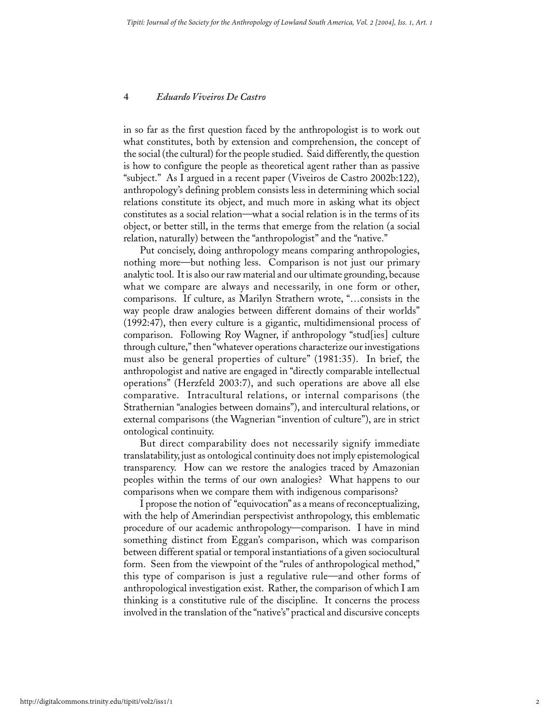in so far as the first question faced by the anthropologist is to work out what constitutes, both by extension and comprehension, the concept of the social (the cultural) for the people studied. Said differently, the question is how to configure the people as theoretical agent rather than as passive "subject." As I argued in a recent paper (Viveiros de Castro 2002b:122), anthropology's defining problem consists less in determining which social relations constitute its object, and much more in asking what its object constitutes as a social relation—what a social relation is in the terms of its object, or better still, in the terms that emerge from the relation (a social relation, naturally) between the "anthropologist" and the "native."

Put concisely, doing anthropology means comparing anthropologies, nothing more—but nothing less. Comparison is not just our primary analytic tool. It is also our raw material and our ultimate grounding, because what we compare are always and necessarily, in one form or other, comparisons. If culture, as Marilyn Strathern wrote, "…consists in the way people draw analogies between different domains of their worlds" (1992:47), then every culture is a gigantic, multidimensional process of comparison. Following Roy Wagner, if anthropology "stud[ies] culture through culture," then "whatever operations characterize our investigations must also be general properties of culture" (1981:35). In brief, the anthropologist and native are engaged in "directly comparable intellectual operations" (Herzfeld 2003:7), and such operations are above all else comparative. Intracultural relations, or internal comparisons (the Strathernian "analogies between domains"), and intercultural relations, or external comparisons (the Wagnerian "invention of culture"), are in strict ontological continuity.

But direct comparability does not necessarily signify immediate translatability, just as ontological continuity does not imply epistemological transparency. How can we restore the analogies traced by Amazonian peoples within the terms of our own analogies? What happens to our comparisons when we compare them with indigenous comparisons?

I propose the notion of "equivocation" as a means of reconceptualizing, with the help of Amerindian perspectivist anthropology, this emblematic procedure of our academic anthropology—comparison. I have in mind something distinct from Eggan's comparison, which was comparison between different spatial or temporal instantiations of a given sociocultural form. Seen from the viewpoint of the "rules of anthropological method," this type of comparison is just a regulative rule—and other forms of anthropological investigation exist. Rather, the comparison of which I am thinking is a constitutive rule of the discipline. It concerns the process involved in the translation of the "native's" practical and discursive concepts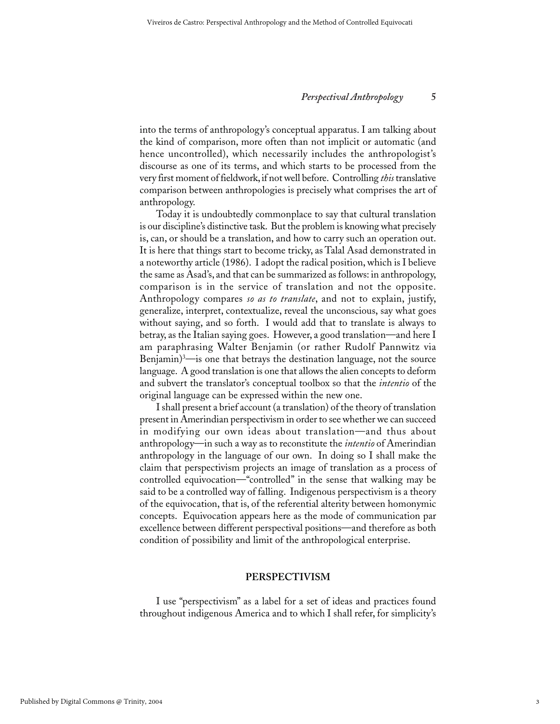into the terms of anthropology's conceptual apparatus. I am talking about the kind of comparison, more often than not implicit or automatic (and hence uncontrolled), which necessarily includes the anthropologist's discourse as one of its terms, and which starts to be processed from the very first moment of fieldwork, if not well before. Controlling *this* translative comparison between anthropologies is precisely what comprises the art of anthropology.

Today it is undoubtedly commonplace to say that cultural translation is our discipline's distinctive task. But the problem is knowing what precisely is, can, or should be a translation, and how to carry such an operation out. It is here that things start to become tricky, as Talal Asad demonstrated in a noteworthy article (1986). I adopt the radical position, which is I believe the same as Asad's, and that can be summarized as follows: in anthropology, comparison is in the service of translation and not the opposite. Anthropology compares *so as to translate*, and not to explain, justify, generalize, interpret, contextualize, reveal the unconscious, say what goes without saying, and so forth. I would add that to translate is always to betray, as the Italian saying goes. However, a good translation—and here I am paraphrasing Walter Benjamin (or rather Rudolf Pannwitz via Benjamin)3 —is one that betrays the destination language, not the source language. A good translation is one that allows the alien concepts to deform and subvert the translator's conceptual toolbox so that the *intentio* of the original language can be expressed within the new one.

I shall present a brief account (a translation) of the theory of translation present in Amerindian perspectivism in order to see whether we can succeed in modifying our own ideas about translation—and thus about anthropology—in such a way as to reconstitute the *intentio* of Amerindian anthropology in the language of our own. In doing so I shall make the claim that perspectivism projects an image of translation as a process of controlled equivocation—"controlled" in the sense that walking may be said to be a controlled way of falling. Indigenous perspectivism is a theory of the equivocation, that is, of the referential alterity between homonymic concepts. Equivocation appears here as the mode of communication par excellence between different perspectival positions—and therefore as both condition of possibility and limit of the anthropological enterprise.

#### **PERSPECTIVISM**

I use "perspectivism" as a label for a set of ideas and practices found throughout indigenous America and to which I shall refer, for simplicity's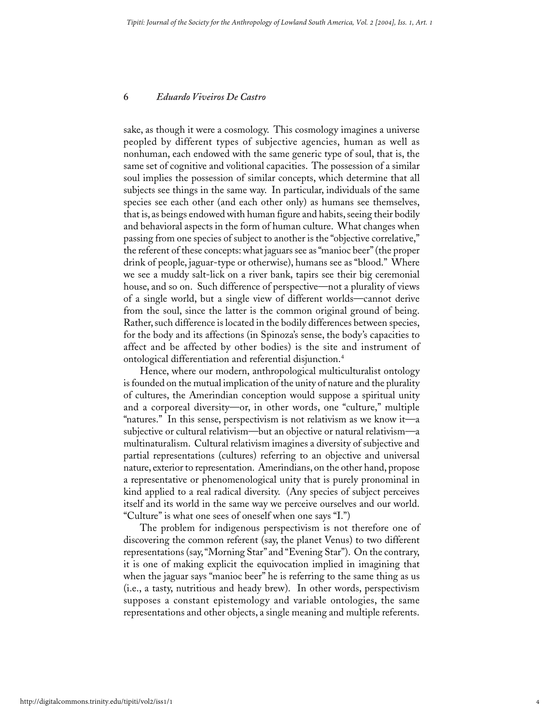sake, as though it were a cosmology. This cosmology imagines a universe peopled by different types of subjective agencies, human as well as nonhuman, each endowed with the same generic type of soul, that is, the same set of cognitive and volitional capacities. The possession of a similar soul implies the possession of similar concepts, which determine that all subjects see things in the same way. In particular, individuals of the same species see each other (and each other only) as humans see themselves, that is, as beings endowed with human figure and habits, seeing their bodily and behavioral aspects in the form of human culture. What changes when passing from one species of subject to another is the "objective correlative," the referent of these concepts: what jaguars see as "manioc beer" (the proper drink of people, jaguar-type or otherwise), humans see as "blood." Where we see a muddy salt-lick on a river bank, tapirs see their big ceremonial house, and so on. Such difference of perspective—not a plurality of views of a single world, but a single view of different worlds—cannot derive from the soul, since the latter is the common original ground of being. Rather, such difference is located in the bodily differences between species, for the body and its affections (in Spinoza's sense, the body's capacities to affect and be affected by other bodies) is the site and instrument of ontological differentiation and referential disjunction.4

Hence, where our modern, anthropological multiculturalist ontology is founded on the mutual implication of the unity of nature and the plurality of cultures, the Amerindian conception would suppose a spiritual unity and a corporeal diversity—or, in other words, one "culture," multiple "natures." In this sense, perspectivism is not relativism as we know it—a subjective or cultural relativism—but an objective or natural relativism—a multinaturalism. Cultural relativism imagines a diversity of subjective and partial representations (cultures) referring to an objective and universal nature, exterior to representation. Amerindians, on the other hand, propose a representative or phenomenological unity that is purely pronominal in kind applied to a real radical diversity. (Any species of subject perceives itself and its world in the same way we perceive ourselves and our world. "Culture" is what one sees of oneself when one says "I.")

The problem for indigenous perspectivism is not therefore one of discovering the common referent (say, the planet Venus) to two different representations (say, "Morning Star" and "Evening Star"). On the contrary, it is one of making explicit the equivocation implied in imagining that when the jaguar says "manioc beer" he is referring to the same thing as us (i.e., a tasty, nutritious and heady brew). In other words, perspectivism supposes a constant epistemology and variable ontologies, the same representations and other objects, a single meaning and multiple referents.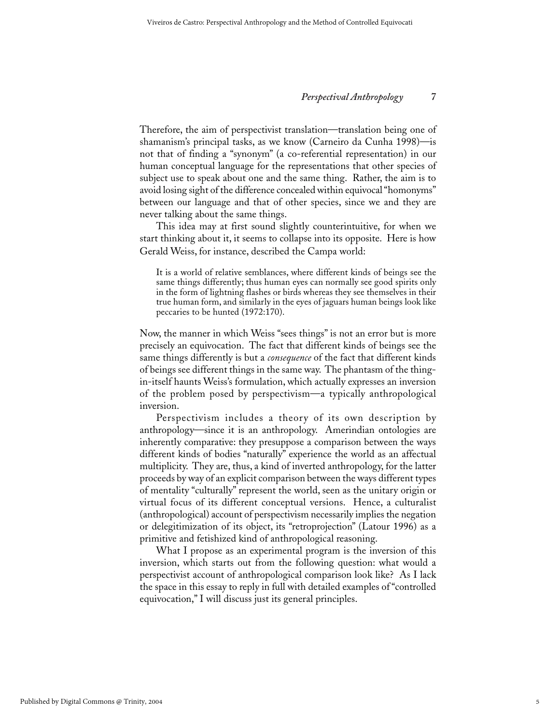Therefore, the aim of perspectivist translation—translation being one of shamanism's principal tasks, as we know (Carneiro da Cunha 1998)—is not that of finding a "synonym" (a co-referential representation) in our human conceptual language for the representations that other species of subject use to speak about one and the same thing. Rather, the aim is to avoid losing sight of the difference concealed within equivocal "homonyms" between our language and that of other species, since we and they are never talking about the same things.

This idea may at first sound slightly counterintuitive, for when we start thinking about it, it seems to collapse into its opposite. Here is how Gerald Weiss, for instance, described the Campa world:

It is a world of relative semblances, where different kinds of beings see the same things differently; thus human eyes can normally see good spirits only in the form of lightning flashes or birds whereas they see themselves in their true human form, and similarly in the eyes of jaguars human beings look like peccaries to be hunted (1972:170).

Now, the manner in which Weiss "sees things" is not an error but is more precisely an equivocation. The fact that different kinds of beings see the same things differently is but a *consequence* of the fact that different kinds of beings see different things in the same way. The phantasm of the thingin-itself haunts Weiss's formulation, which actually expresses an inversion of the problem posed by perspectivism—a typically anthropological inversion.

Perspectivism includes a theory of its own description by anthropology—since it is an anthropology. Amerindian ontologies are inherently comparative: they presuppose a comparison between the ways different kinds of bodies "naturally" experience the world as an affectual multiplicity. They are, thus, a kind of inverted anthropology, for the latter proceeds by way of an explicit comparison between the ways different types of mentality "culturally" represent the world, seen as the unitary origin or virtual focus of its different conceptual versions. Hence, a culturalist (anthropological) account of perspectivism necessarily implies the negation or delegitimization of its object, its "retroprojection" (Latour 1996) as a primitive and fetishized kind of anthropological reasoning.

What I propose as an experimental program is the inversion of this inversion, which starts out from the following question: what would a perspectivist account of anthropological comparison look like? As I lack the space in this essay to reply in full with detailed examples of "controlled equivocation," I will discuss just its general principles.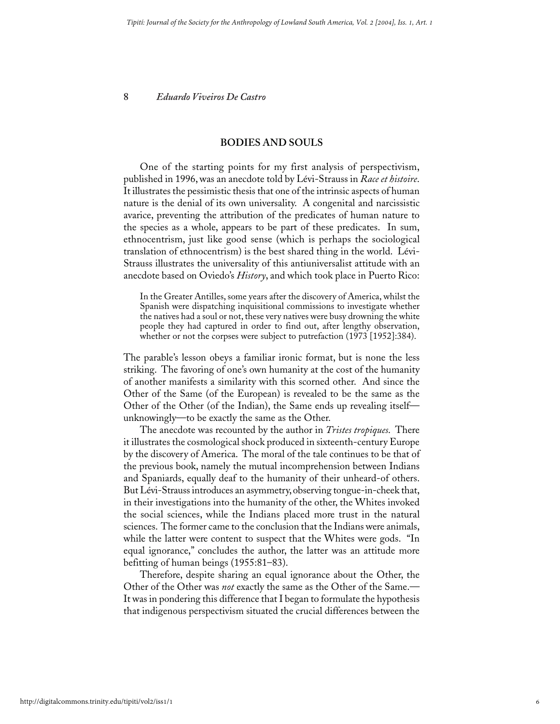### **BODIES AND SOULS**

One of the starting points for my first analysis of perspectivism, published in 1996, was an anecdote told by Lévi-Strauss in *Race et histoire*. It illustrates the pessimistic thesis that one of the intrinsic aspects of human nature is the denial of its own universality. A congenital and narcissistic avarice, preventing the attribution of the predicates of human nature to the species as a whole, appears to be part of these predicates. In sum, ethnocentrism, just like good sense (which is perhaps the sociological translation of ethnocentrism) is the best shared thing in the world. Lévi-Strauss illustrates the universality of this antiuniversalist attitude with an anecdote based on Oviedo's *History*, and which took place in Puerto Rico:

In the Greater Antilles, some years after the discovery of America, whilst the Spanish were dispatching inquisitional commissions to investigate whether the natives had a soul or not, these very natives were busy drowning the white people they had captured in order to find out, after lengthy observation, whether or not the corpses were subject to putrefaction (1973 [1952]:384).

The parable's lesson obeys a familiar ironic format, but is none the less striking. The favoring of one's own humanity at the cost of the humanity of another manifests a similarity with this scorned other. And since the Other of the Same (of the European) is revealed to be the same as the Other of the Other (of the Indian), the Same ends up revealing itself unknowingly—to be exactly the same as the Other.

The anecdote was recounted by the author in *Tristes tropiques*. There it illustrates the cosmological shock produced in sixteenth-century Europe by the discovery of America. The moral of the tale continues to be that of the previous book, namely the mutual incomprehension between Indians and Spaniards, equally deaf to the humanity of their unheard-of others. But Lévi-Strauss introduces an asymmetry, observing tongue-in-cheek that, in their investigations into the humanity of the other, the Whites invoked the social sciences, while the Indians placed more trust in the natural sciences. The former came to the conclusion that the Indians were animals, while the latter were content to suspect that the Whites were gods. "In equal ignorance," concludes the author, the latter was an attitude more befitting of human beings (1955:81–83).

Therefore, despite sharing an equal ignorance about the Other, the Other of the Other was *not* exactly the same as the Other of the Same.— It was in pondering this difference that I began to formulate the hypothesis that indigenous perspectivism situated the crucial differences between the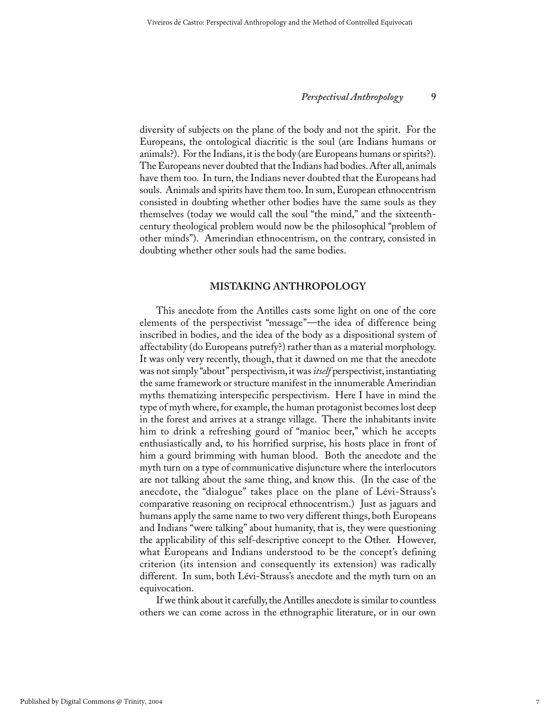diversity of subjects on the plane of the body and not the spirit. For the Europeans, the ontological diacritic is the soul (are Indians humans or animals?). For the Indians, it is the body (are Europeans humans or spirits?). The Europeans never doubted that the Indians had bodies. After all, animals have them too. In turn, the Indians never doubted that the Europeans had souls. Animals and spirits have them too. In sum, European ethnocentrism consisted in doubting whether other bodies have the same souls as they themselves (today we would call the soul "the mind," and the sixteenthcentury theological problem would now be the philosophical "problem of other minds"). Amerindian ethnocentrism, on the contrary, consisted in doubting whether other souls had the same bodies.

# **MISTAKING ANTHROPOLOGY**

This anecdote from the Antilles casts some light on one of the core elements of the perspectivist "message"—the idea of difference being inscribed in bodies, and the idea of the body as a dispositional system of affectability (do Europeans putrefy?) rather than as a material morphology. It was only very recently, though, that it dawned on me that the anecdote was not simply "about" perspectivism, it was *itself* perspectivist, instantiating the same framework or structure manifest in the innumerable Amerindian myths thematizing interspecific perspectivism. Here I have in mind the type of myth where, for example, the human protagonist becomes lost deep in the forest and arrives at a strange village. There the inhabitants invite him to drink a refreshing gourd of "manioc beer," which he accepts enthusiastically and, to his horrified surprise, his hosts place in front of him a gourd brimming with human blood. Both the anecdote and the myth turn on a type of communicative disjuncture where the interlocutors are not talking about the same thing, and know this. (In the case of the anecdote, the "dialogue" takes place on the plane of Lévi-Strauss's comparative reasoning on reciprocal ethnocentrism.) Just as jaguars and humans apply the same name to two very different things, both Europeans and Indians "were talking" about humanity, that is, they were questioning the applicability of this self-descriptive concept to the Other. However, what Europeans and Indians understood to be the concept's defining criterion (its intension and consequently its extension) was radically different. In sum, both Lévi-Strauss's anecdote and the myth turn on an equivocation.

If we think about it carefully, the Antilles anecdote is similar to countless others we can come across in the ethnographic literature, or in our own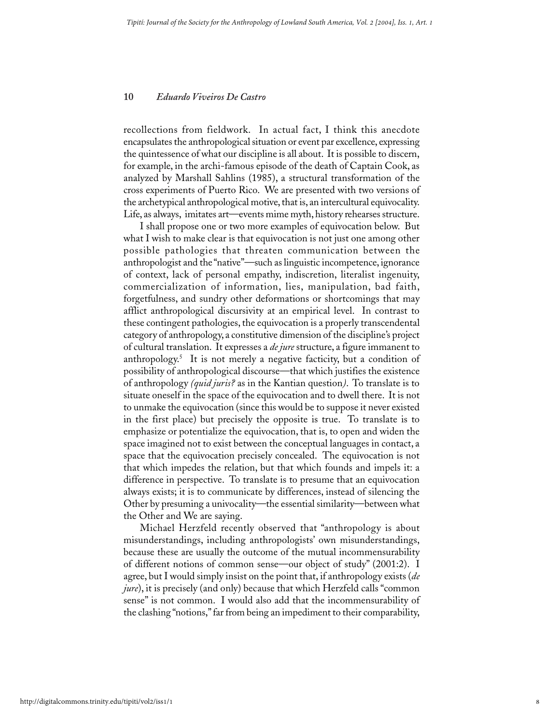recollections from fieldwork. In actual fact, I think this anecdote encapsulates the anthropological situation or event par excellence, expressing the quintessence of what our discipline is all about. It is possible to discern, for example, in the archi-famous episode of the death of Captain Cook, as analyzed by Marshall Sahlins (1985), a structural transformation of the cross experiments of Puerto Rico. We are presented with two versions of the archetypical anthropological motive, that is, an intercultural equivocality. Life, as always, imitates art—events mime myth, history rehearses structure.

I shall propose one or two more examples of equivocation below. But what I wish to make clear is that equivocation is not just one among other possible pathologies that threaten communication between the anthropologist and the "native"—such as linguistic incompetence, ignorance of context, lack of personal empathy, indiscretion, literalist ingenuity, commercialization of information, lies, manipulation, bad faith, forgetfulness, and sundry other deformations or shortcomings that may afflict anthropological discursivity at an empirical level. In contrast to these contingent pathologies, the equivocation is a properly transcendental category of anthropology, a constitutive dimension of the discipline's project of cultural translation. It expresses a *de jure* structure, a figure immanent to anthropology.5 It is not merely a negative facticity, but a condition of possibility of anthropological discourse—that which justifies the existence of anthropology *(quid juris?* as in the Kantian question*)*. To translate is to situate oneself in the space of the equivocation and to dwell there. It is not to unmake the equivocation (since this would be to suppose it never existed in the first place) but precisely the opposite is true. To translate is to emphasize or potentialize the equivocation, that is, to open and widen the space imagined not to exist between the conceptual languages in contact, a space that the equivocation precisely concealed. The equivocation is not that which impedes the relation, but that which founds and impels it: a difference in perspective. To translate is to presume that an equivocation always exists; it is to communicate by differences, instead of silencing the Other by presuming a univocality—the essential similarity—between what the Other and We are saying.

Michael Herzfeld recently observed that "anthropology is about misunderstandings, including anthropologists' own misunderstandings, because these are usually the outcome of the mutual incommensurability of different notions of common sense—our object of study" (2001:2). I agree, but I would simply insist on the point that, if anthropology exists (*de jure*), it is precisely (and only) because that which Herzfeld calls "common sense" is not common. I would also add that the incommensurability of the clashing "notions," far from being an impediment to their comparability,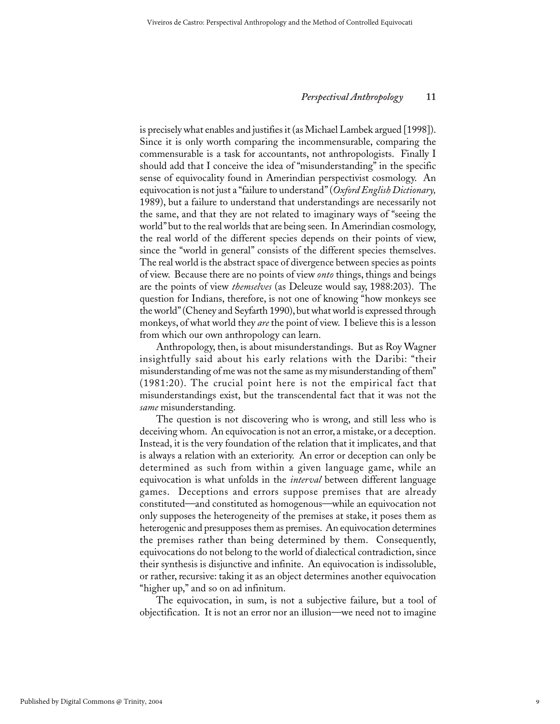is precisely what enables and justifies it (as Michael Lambek argued [1998]). Since it is only worth comparing the incommensurable, comparing the commensurable is a task for accountants, not anthropologists. Finally I should add that I conceive the idea of "misunderstanding" in the specific sense of equivocality found in Amerindian perspectivist cosmology. An equivocation is not just a "failure to understand" (*Oxford English Dictionary,* 1989), but a failure to understand that understandings are necessarily not the same, and that they are not related to imaginary ways of "seeing the world" but to the real worlds that are being seen. In Amerindian cosmology, the real world of the different species depends on their points of view, since the "world in general" consists of the different species themselves. The real world is the abstract space of divergence between species as points of view. Because there are no points of view *onto* things, things and beings are the points of view *themselves* (as Deleuze would say, 1988:203). The question for Indians, therefore, is not one of knowing "how monkeys see the world" (Cheney and Seyfarth 1990), but what world is expressed through monkeys, of what world they *are* the point of view. I believe this is a lesson from which our own anthropology can learn.

Anthropology, then, is about misunderstandings. But as Roy Wagner insightfully said about his early relations with the Daribi: "their misunderstanding of me was not the same as my misunderstanding of them" (1981:20). The crucial point here is not the empirical fact that misunderstandings exist, but the transcendental fact that it was not the *same* misunderstanding.

The question is not discovering who is wrong, and still less who is deceiving whom. An equivocation is not an error, a mistake, or a deception. Instead, it is the very foundation of the relation that it implicates, and that is always a relation with an exteriority. An error or deception can only be determined as such from within a given language game, while an equivocation is what unfolds in the *interval* between different language games. Deceptions and errors suppose premises that are already constituted—and constituted as homogenous—while an equivocation not only supposes the heterogeneity of the premises at stake, it poses them as heterogenic and presupposes them as premises. An equivocation determines the premises rather than being determined by them. Consequently, equivocations do not belong to the world of dialectical contradiction, since their synthesis is disjunctive and infinite. An equivocation is indissoluble, or rather, recursive: taking it as an object determines another equivocation "higher up," and so on ad infinitum.

The equivocation, in sum, is not a subjective failure, but a tool of objectification. It is not an error nor an illusion—we need not to imagine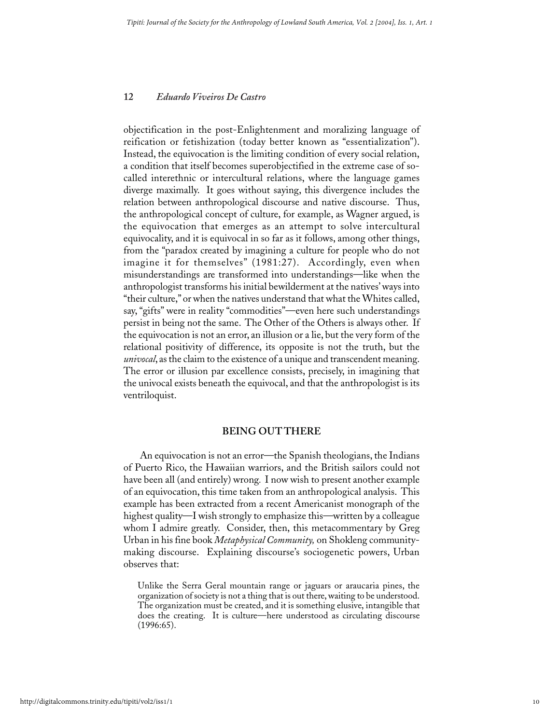objectification in the post-Enlightenment and moralizing language of reification or fetishization (today better known as "essentialization"). Instead, the equivocation is the limiting condition of every social relation, a condition that itself becomes superobjectified in the extreme case of socalled interethnic or intercultural relations, where the language games diverge maximally. It goes without saying, this divergence includes the relation between anthropological discourse and native discourse. Thus, the anthropological concept of culture, for example, as Wagner argued, is the equivocation that emerges as an attempt to solve intercultural equivocality, and it is equivocal in so far as it follows, among other things, from the "paradox created by imagining a culture for people who do not imagine it for themselves" (1981:27). Accordingly, even when misunderstandings are transformed into understandings—like when the anthropologist transforms his initial bewilderment at the natives' ways into "their culture," or when the natives understand that what the Whites called, say, "gifts" were in reality "commodities"—even here such understandings persist in being not the same. The Other of the Others is always other. If the equivocation is not an error, an illusion or a lie, but the very form of the relational positivity of difference, its opposite is not the truth, but the *univocal*, as the claim to the existence of a unique and transcendent meaning. The error or illusion par excellence consists, precisely, in imagining that the univocal exists beneath the equivocal, and that the anthropologist is its ventriloquist.

#### **BEING OUT THERE**

An equivocation is not an error—the Spanish theologians, the Indians of Puerto Rico, the Hawaiian warriors, and the British sailors could not have been all (and entirely) wrong*.* I now wish to present another example of an equivocation, this time taken from an anthropological analysis. This example has been extracted from a recent Americanist monograph of the highest quality—I wish strongly to emphasize this—written by a colleague whom I admire greatly. Consider, then, this metacommentary by Greg Urban in his fine book *Metaphysical Community,* on Shokleng communitymaking discourse. Explaining discourse's sociogenetic powers, Urban observes that:

Unlike the Serra Geral mountain range or jaguars or araucaria pines, the organization of society is not a thing that is out there, waiting to be understood. The organization must be created, and it is something elusive, intangible that does the creating. It is culture—here understood as circulating discourse (1996:65).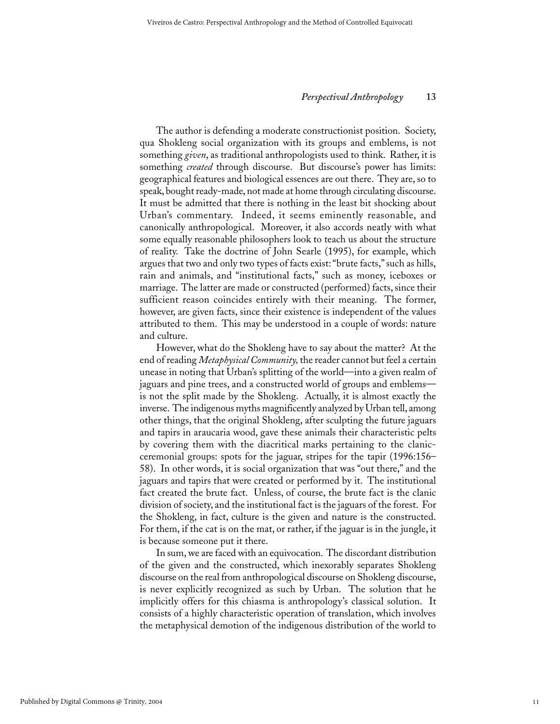The author is defending a moderate constructionist position. Society, qua Shokleng social organization with its groups and emblems, is not something *given*, as traditional anthropologists used to think. Rather, it is something *created* through discourse. But discourse's power has limits: geographical features and biological essences are out there. They are, so to speak, bought ready-made, not made at home through circulating discourse. It must be admitted that there is nothing in the least bit shocking about Urban's commentary. Indeed, it seems eminently reasonable, and canonically anthropological. Moreover, it also accords neatly with what some equally reasonable philosophers look to teach us about the structure of reality. Take the doctrine of John Searle (1995), for example, which argues that two and only two types of facts exist: "brute facts," such as hills, rain and animals, and "institutional facts," such as money, iceboxes or marriage. The latter are made or constructed (performed) facts, since their sufficient reason coincides entirely with their meaning. The former, however, are given facts, since their existence is independent of the values attributed to them. This may be understood in a couple of words: nature and culture.

However, what do the Shokleng have to say about the matter? At the end of reading *Metaphysical Community,* the reader cannot but feel a certain unease in noting that Urban's splitting of the world—into a given realm of jaguars and pine trees, and a constructed world of groups and emblems is not the split made by the Shokleng. Actually, it is almost exactly the inverse. The indigenous myths magnificently analyzed by Urban tell, among other things, that the original Shokleng, after sculpting the future jaguars and tapirs in araucaria wood, gave these animals their characteristic pelts by covering them with the diacritical marks pertaining to the clanicceremonial groups: spots for the jaguar, stripes for the tapir (1996:156– 58). In other words, it is social organization that was "out there," and the jaguars and tapirs that were created or performed by it. The institutional fact created the brute fact. Unless, of course, the brute fact is the clanic division of society, and the institutional fact is the jaguars of the forest. For the Shokleng, in fact, culture is the given and nature is the constructed. For them, if the cat is on the mat, or rather, if the jaguar is in the jungle, it is because someone put it there.

In sum, we are faced with an equivocation. The discordant distribution of the given and the constructed, which inexorably separates Shokleng discourse on the real from anthropological discourse on Shokleng discourse, is never explicitly recognized as such by Urban. The solution that he implicitly offers for this chiasma is anthropology's classical solution. It consists of a highly characteristic operation of translation, which involves the metaphysical demotion of the indigenous distribution of the world to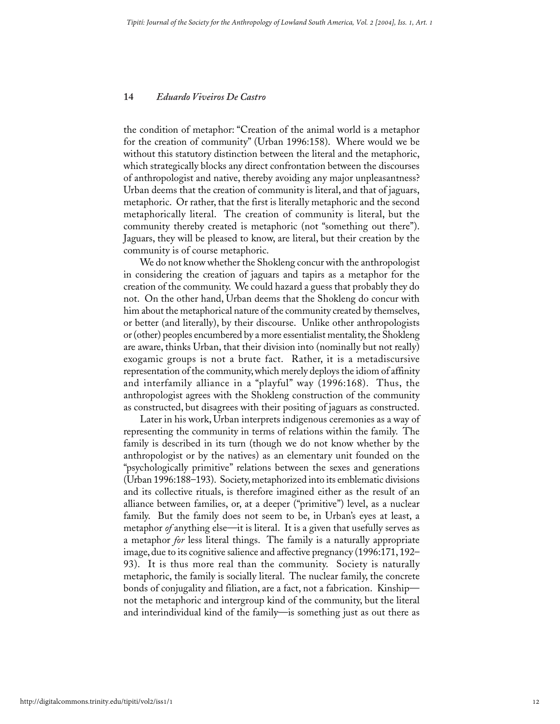the condition of metaphor: "Creation of the animal world is a metaphor for the creation of community" (Urban 1996:158). Where would we be without this statutory distinction between the literal and the metaphoric, which strategically blocks any direct confrontation between the discourses of anthropologist and native, thereby avoiding any major unpleasantness? Urban deems that the creation of community is literal, and that of jaguars, metaphoric. Or rather, that the first is literally metaphoric and the second metaphorically literal. The creation of community is literal, but the community thereby created is metaphoric (not "something out there"). Jaguars, they will be pleased to know, are literal, but their creation by the community is of course metaphoric.

We do not know whether the Shokleng concur with the anthropologist in considering the creation of jaguars and tapirs as a metaphor for the creation of the community. We could hazard a guess that probably they do not. On the other hand, Urban deems that the Shokleng do concur with him about the metaphorical nature of the community created by themselves, or better (and literally), by their discourse. Unlike other anthropologists or (other) peoples encumbered by a more essentialist mentality, the Shokleng are aware, thinks Urban, that their division into (nominally but not really) exogamic groups is not a brute fact. Rather, it is a metadiscursive representation of the community, which merely deploys the idiom of affinity and interfamily alliance in a "playful" way (1996:168). Thus, the anthropologist agrees with the Shokleng construction of the community as constructed, but disagrees with their positing of jaguars as constructed.

Later in his work, Urban interprets indigenous ceremonies as a way of representing the community in terms of relations within the family. The family is described in its turn (though we do not know whether by the anthropologist or by the natives) as an elementary unit founded on the "psychologically primitive" relations between the sexes and generations (Urban 1996:188–193). Society, metaphorized into its emblematic divisions and its collective rituals, is therefore imagined either as the result of an alliance between families, or, at a deeper ("primitive") level, as a nuclear family. But the family does not seem to be, in Urban's eyes at least, a metaphor *of* anything else—it is literal. It is a given that usefully serves as a metaphor *for* less literal things. The family is a naturally appropriate image, due to its cognitive salience and affective pregnancy (1996:171, 192– 93). It is thus more real than the community. Society is naturally metaphoric, the family is socially literal. The nuclear family, the concrete bonds of conjugality and filiation, are a fact, not a fabrication. Kinship not the metaphoric and intergroup kind of the community, but the literal and interindividual kind of the family—is something just as out there as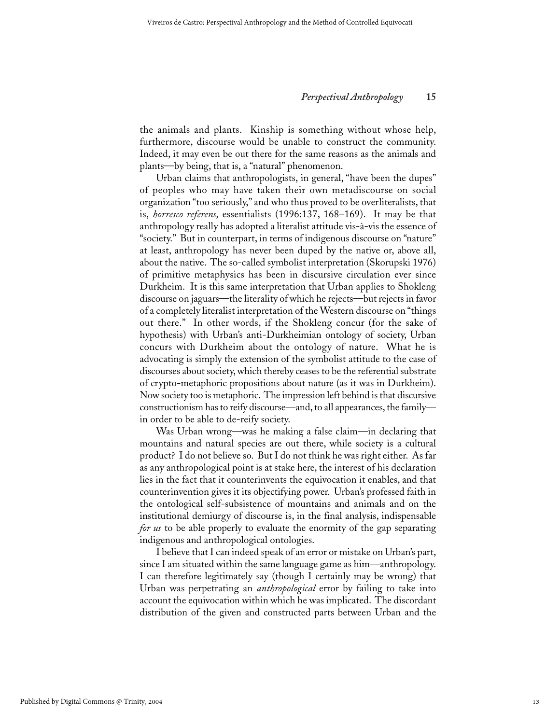the animals and plants. Kinship is something without whose help, furthermore, discourse would be unable to construct the community. Indeed, it may even be out there for the same reasons as the animals and plants—by being, that is, a "natural" phenomenon.

Urban claims that anthropologists, in general, "have been the dupes" of peoples who may have taken their own metadiscourse on social organization "too seriously," and who thus proved to be overliteralists, that is, *horresco referens,* essentialists (1996:137, 168–169). It may be that anthropology really has adopted a literalist attitude vis-à-vis the essence of "society." But in counterpart, in terms of indigenous discourse on "nature" at least, anthropology has never been duped by the native or, above all, about the native. The so-called symbolist interpretation (Skorupski 1976) of primitive metaphysics has been in discursive circulation ever since Durkheim. It is this same interpretation that Urban applies to Shokleng discourse on jaguars—the literality of which he rejects—but rejects in favor of a completely literalist interpretation of the Western discourse on "things out there." In other words, if the Shokleng concur (for the sake of hypothesis) with Urban's anti-Durkheimian ontology of society, Urban concurs with Durkheim about the ontology of nature. What he is advocating is simply the extension of the symbolist attitude to the case of discourses about society, which thereby ceases to be the referential substrate of crypto-metaphoric propositions about nature (as it was in Durkheim). Now society too is metaphoric. The impression left behind is that discursive constructionism has to reify discourse—and, to all appearances, the family in order to be able to de-reify society.

Was Urban wrong—was he making a false claim—in declaring that mountains and natural species are out there, while society is a cultural product? I do not believe so. But I do not think he was right either. As far as any anthropological point is at stake here, the interest of his declaration lies in the fact that it counterinvents the equivocation it enables, and that counterinvention gives it its objectifying power. Urban's professed faith in the ontological self-subsistence of mountains and animals and on the institutional demiurgy of discourse is, in the final analysis, indispensable *for us* to be able properly to evaluate the enormity of the gap separating indigenous and anthropological ontologies.

I believe that I can indeed speak of an error or mistake on Urban's part, since I am situated within the same language game as him—anthropology. I can therefore legitimately say (though I certainly may be wrong) that Urban was perpetrating an *anthropological* error by failing to take into account the equivocation within which he was implicated. The discordant distribution of the given and constructed parts between Urban and the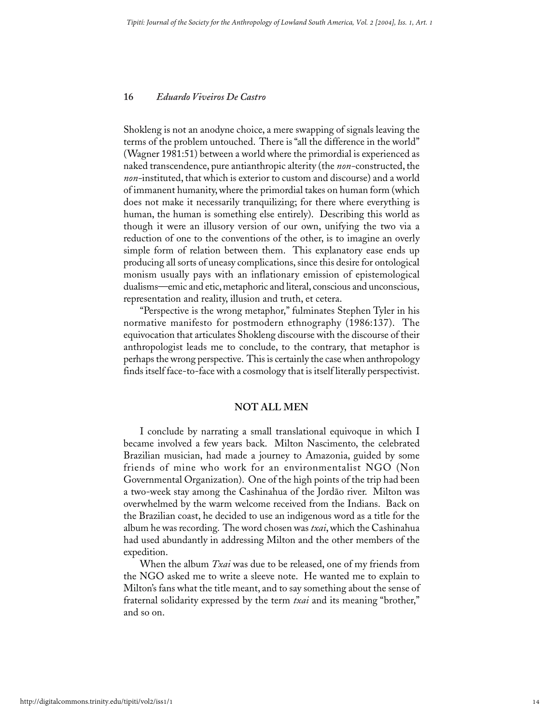Shokleng is not an anodyne choice, a mere swapping of signals leaving the terms of the problem untouched. There is "all the difference in the world" (Wagner 1981:51) between a world where the primordial is experienced as naked transcendence, pure antianthropic alterity (the *non-*constructed, the *non-*instituted, that which is exterior to custom and discourse) and a world of immanent humanity, where the primordial takes on human form (which does not make it necessarily tranquilizing; for there where everything is human, the human is something else entirely). Describing this world as though it were an illusory version of our own, unifying the two via a reduction of one to the conventions of the other, is to imagine an overly simple form of relation between them. This explanatory ease ends up producing all sorts of uneasy complications, since this desire for ontological monism usually pays with an inflationary emission of epistemological dualisms—emic and etic, metaphoric and literal, conscious and unconscious, representation and reality, illusion and truth, et cetera.

"Perspective is the wrong metaphor," fulminates Stephen Tyler in his normative manifesto for postmodern ethnography (1986:137). The equivocation that articulates Shokleng discourse with the discourse of their anthropologist leads me to conclude, to the contrary, that metaphor is perhaps the wrong perspective. This is certainly the case when anthropology finds itself face-to-face with a cosmology that is itself literally perspectivist.

# **NOT ALL MEN**

I conclude by narrating a small translational equivoque in which I became involved a few years back. Milton Nascimento, the celebrated Brazilian musician, had made a journey to Amazonia, guided by some friends of mine who work for an environmentalist NGO (Non Governmental Organization). One of the high points of the trip had been a two-week stay among the Cashinahua of the Jordão river. Milton was overwhelmed by the warm welcome received from the Indians. Back on the Brazilian coast, he decided to use an indigenous word as a title for the album he was recording. The word chosen was *txai*, which the Cashinahua had used abundantly in addressing Milton and the other members of the expedition.

When the album *Txai* was due to be released, one of my friends from the NGO asked me to write a sleeve note. He wanted me to explain to Milton's fans what the title meant, and to say something about the sense of fraternal solidarity expressed by the term *txai* and its meaning "brother," and so on.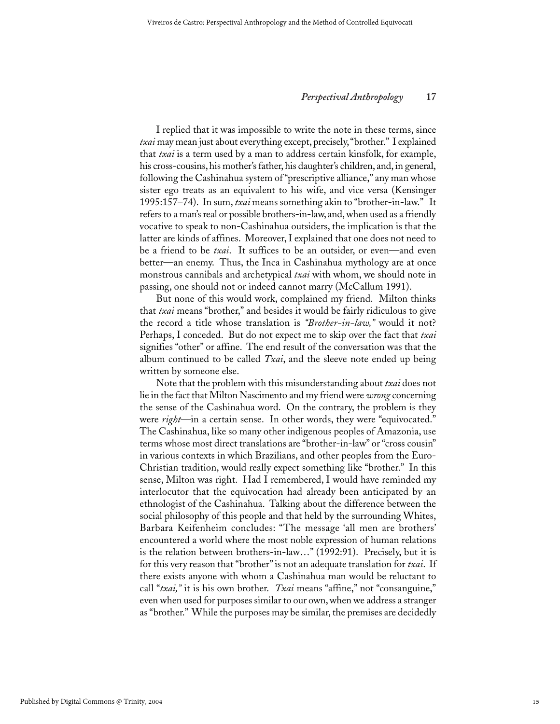I replied that it was impossible to write the note in these terms, since *txai* may mean just about everything except, precisely, "brother." I explained that *txai* is a term used by a man to address certain kinsfolk, for example, his cross-cousins, his mother's father, his daughter's children, and, in general, following the Cashinahua system of "prescriptive alliance," any man whose sister ego treats as an equivalent to his wife, and vice versa (Kensinger 1995:157–74). In sum, *txai* means something akin to "brother-in-law." It refers to a man's real or possible brothers-in-law, and, when used as a friendly vocative to speak to non-Cashinahua outsiders, the implication is that the latter are kinds of affines. Moreover, I explained that one does not need to be a friend to be *txai*. It suffices to be an outsider, or even—and even better—an enemy. Thus, the Inca in Cashinahua mythology are at once monstrous cannibals and archetypical *txai* with whom, we should note in passing, one should not or indeed cannot marry (McCallum 1991).

But none of this would work, complained my friend. Milton thinks that *txai* means "brother," and besides it would be fairly ridiculous to give the record a title whose translation is *"Brother-in-law,"* would it not? Perhaps, I conceded. But do not expect me to skip over the fact that *txai* signifies "other" or affine. The end result of the conversation was that the album continued to be called *Txai*, and the sleeve note ended up being written by someone else.

Note that the problem with this misunderstanding about *txai* does not lie in the fact that Milton Nascimento and my friend were *wrong* concerning the sense of the Cashinahua word. On the contrary, the problem is they were *right*—in a certain sense. In other words, they were "equivocated." The Cashinahua, like so many other indigenous peoples of Amazonia, use terms whose most direct translations are "brother-in-law" or "cross cousin" in various contexts in which Brazilians, and other peoples from the Euro-Christian tradition, would really expect something like "brother." In this sense, Milton was right. Had I remembered, I would have reminded my interlocutor that the equivocation had already been anticipated by an ethnologist of the Cashinahua. Talking about the difference between the social philosophy of this people and that held by the surrounding Whites, Barbara Keifenheim concludes: "The message 'all men are brothers' encountered a world where the most noble expression of human relations is the relation between brothers-in-law…" (1992:91). Precisely, but it is for this very reason that "brother" is not an adequate translation for *txai*. If there exists anyone with whom a Cashinahua man would be reluctant to call "*txai,"* it is his own brother. *Txai* means "affine," not "consanguine," even when used for purposes similar to our own, when we address a stranger as "brother." While the purposes may be similar, the premises are decidedly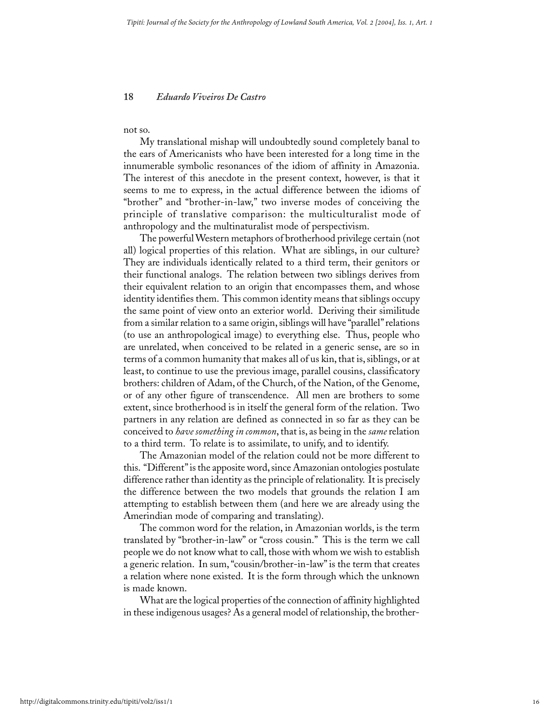not so.

My translational mishap will undoubtedly sound completely banal to the ears of Americanists who have been interested for a long time in the innumerable symbolic resonances of the idiom of affinity in Amazonia. The interest of this anecdote in the present context, however, is that it seems to me to express, in the actual difference between the idioms of "brother" and "brother-in-law," two inverse modes of conceiving the principle of translative comparison: the multiculturalist mode of anthropology and the multinaturalist mode of perspectivism.

The powerful Western metaphors of brotherhood privilege certain (not all) logical properties of this relation. What are siblings, in our culture? They are individuals identically related to a third term, their genitors or their functional analogs. The relation between two siblings derives from their equivalent relation to an origin that encompasses them, and whose identity identifies them. This common identity means that siblings occupy the same point of view onto an exterior world. Deriving their similitude from a similar relation to a same origin, siblings will have "parallel" relations (to use an anthropological image) to everything else. Thus, people who are unrelated, when conceived to be related in a generic sense, are so in terms of a common humanity that makes all of us kin, that is, siblings, or at least, to continue to use the previous image, parallel cousins, classificatory brothers: children of Adam, of the Church, of the Nation, of the Genome, or of any other figure of transcendence. All men are brothers to some extent, since brotherhood is in itself the general form of the relation. Two partners in any relation are defined as connected in so far as they can be conceived to *have something in common*, that is, as being in the *same* relation to a third term. To relate is to assimilate, to unify, and to identify.

The Amazonian model of the relation could not be more different to this. "Different" is the apposite word, since Amazonian ontologies postulate difference rather than identity as the principle of relationality. It is precisely the difference between the two models that grounds the relation I am attempting to establish between them (and here we are already using the Amerindian mode of comparing and translating).

The common word for the relation, in Amazonian worlds, is the term translated by "brother-in-law" or "cross cousin." This is the term we call people we do not know what to call, those with whom we wish to establish a generic relation. In sum, "cousin/brother-in-law" is the term that creates a relation where none existed. It is the form through which the unknown is made known.

What are the logical properties of the connection of affinity highlighted in these indigenous usages? As a general model of relationship, the brother-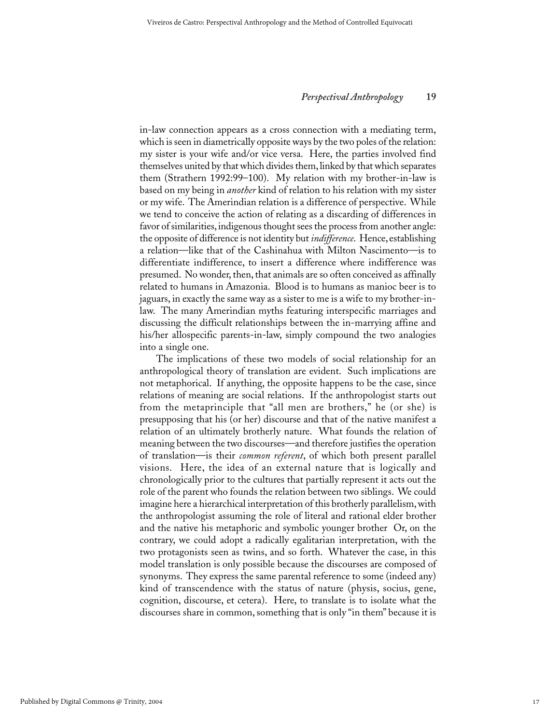in-law connection appears as a cross connection with a mediating term, which is seen in diametrically opposite ways by the two poles of the relation: my sister is your wife and/or vice versa. Here, the parties involved find themselves united by that which divides them, linked by that which separates them (Strathern 1992:99–100). My relation with my brother-in-law is based on my being in *another* kind of relation to his relation with my sister or my wife. The Amerindian relation is a difference of perspective. While we tend to conceive the action of relating as a discarding of differences in favor of similarities, indigenous thought sees the process from another angle: the opposite of difference is not identity but *indifference*. Hence, establishing a relation—like that of the Cashinahua with Milton Nascimento—is to differentiate indifference, to insert a difference where indifference was presumed. No wonder, then, that animals are so often conceived as affinally related to humans in Amazonia. Blood is to humans as manioc beer is to jaguars, in exactly the same way as a sister to me is a wife to my brother-inlaw. The many Amerindian myths featuring interspecific marriages and discussing the difficult relationships between the in-marrying affine and his/her allospecific parents-in-law, simply compound the two analogies into a single one.

The implications of these two models of social relationship for an anthropological theory of translation are evident. Such implications are not metaphorical. If anything, the opposite happens to be the case, since relations of meaning are social relations. If the anthropologist starts out from the metaprinciple that "all men are brothers," he (or she) is presupposing that his (or her) discourse and that of the native manifest a relation of an ultimately brotherly nature. What founds the relation of meaning between the two discourses—and therefore justifies the operation of translation—is their *common referent*, of which both present parallel visions. Here, the idea of an external nature that is logically and chronologically prior to the cultures that partially represent it acts out the role of the parent who founds the relation between two siblings. We could imagine here a hierarchical interpretation of this brotherly parallelism, with the anthropologist assuming the role of literal and rational elder brother and the native his metaphoric and symbolic younger brother Or, on the contrary, we could adopt a radically egalitarian interpretation, with the two protagonists seen as twins, and so forth. Whatever the case, in this model translation is only possible because the discourses are composed of synonyms. They express the same parental reference to some (indeed any) kind of transcendence with the status of nature (physis, socius, gene, cognition, discourse, et cetera). Here, to translate is to isolate what the discourses share in common, something that is only "in them" because it is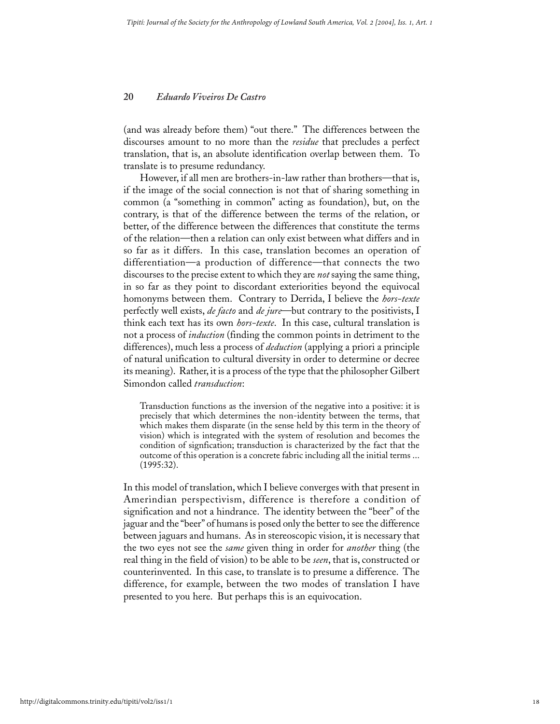(and was already before them) "out there." The differences between the discourses amount to no more than the *residue* that precludes a perfect translation, that is, an absolute identification overlap between them. To translate is to presume redundancy.

However, if all men are brothers-in-law rather than brothers—that is, if the image of the social connection is not that of sharing something in common (a "something in common" acting as foundation), but, on the contrary, is that of the difference between the terms of the relation, or better, of the difference between the differences that constitute the terms of the relation—then a relation can only exist between what differs and in so far as it differs. In this case, translation becomes an operation of differentiation—a production of difference—that connects the two discourses to the precise extent to which they are *not* saying the same thing, in so far as they point to discordant exteriorities beyond the equivocal homonyms between them. Contrary to Derrida, I believe the *hors-texte* perfectly well exists, *de facto* and *de jure*—but contrary to the positivists, I think each text has its own *hors-texte*. In this case, cultural translation is not a process of *induction* (finding the common points in detriment to the differences), much less a process of *deduction* (applying a priori a principle of natural unification to cultural diversity in order to determine or decree its meaning). Rather, it is a process of the type that the philosopher Gilbert Simondon called *transduction*:

Transduction functions as the inversion of the negative into a positive: it is precisely that which determines the non-identity between the terms, that which makes them disparate (in the sense held by this term in the theory of vision) which is integrated with the system of resolution and becomes the condition of signfication; transduction is characterized by the fact that the outcome of this operation is a concrete fabric including all the initial terms ... (1995:32).

In this model of translation, which I believe converges with that present in Amerindian perspectivism, difference is therefore a condition of signification and not a hindrance. The identity between the "beer" of the jaguar and the "beer" of humans is posed only the better to see the difference between jaguars and humans. As in stereoscopic vision, it is necessary that the two eyes not see the *same* given thing in order for *another* thing (the real thing in the field of vision) to be able to be *seen*, that is, constructed or counterinvented. In this case, to translate is to presume a difference. The difference, for example, between the two modes of translation I have presented to you here. But perhaps this is an equivocation.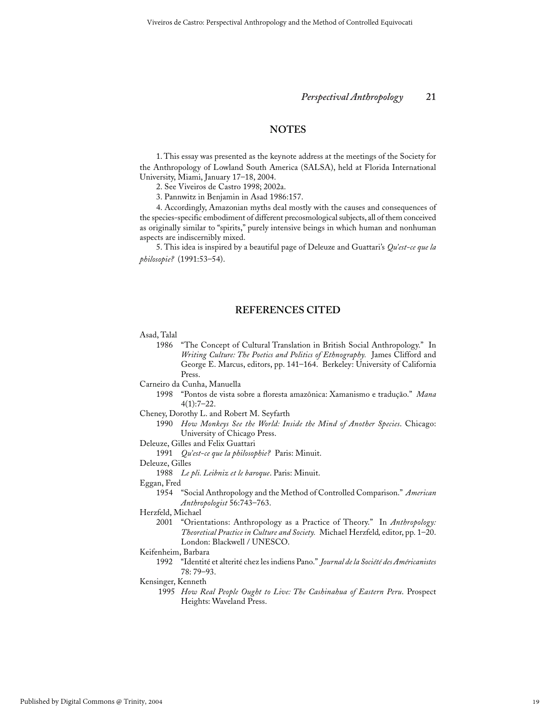#### **NOTES**

1. This essay was presented as the keynote address at the meetings of the Society for the Anthropology of Lowland South America (SALSA), held at Florida International University, Miami, January 17–18, 2004.

2. See Viveiros de Castro 1998; 2002a.

3. Pannwitz in Benjamin in Asad 1986:157.

4. Accordingly, Amazonian myths deal mostly with the causes and consequences of the species-specific embodiment of different precosmological subjects, all of them conceived as originally similar to "spirits," purely intensive beings in which human and nonhuman aspects are indiscernibly mixed.

5. This idea is inspired by a beautiful page of Deleuze and Guattari's *Qu'est-ce que la philosopie?* (1991:53–54).

#### **REFERENCES CITED**

# Asad, Talal

"The Concept of Cultural Translation in British Social Anthropology." In *Writing Culture: The Poetics and Politics of Ethnography.* James Clifford and George E. Marcus, editors, pp. 141–164. Berkeley: University of California Press.

Carneiro da Cunha, Manuella

- 1998 "Pontos de vista sobre a floresta amazônica: Xamanismo e tradução." *Mana* 4(1):7–22.
- Cheney, Dorothy L. and Robert M. Seyfarth
	- 1990 *How Monkeys See the World: Inside the Mind of Another Species*. Chicago: University of Chicago Press.

Deleuze, Gilles and Felix Guattari

1991 *Qu'est-ce que la philosophie?* Paris: Minuit.

#### Deleuze, Gilles

1988 *Le pli. Leibniz et le baroque*. Paris: Minuit.

## Eggan, Fred

1954 "Social Anthropology and the Method of Controlled Comparison." *American Anthropologist* 56:743–763.

#### Herzfeld, Michael

2001 "Orientations: Anthropology as a Practice of Theory." In *Anthropology: Theoretical Practice in Culture and Society.* Michael Herzfeld*,* editor, pp. 1–20. London: Blackwell / UNESCO.

#### Keifenheim, Barbara

1992 "Identité et alterité chez les indiens Pano." *Journal de la Société des Américanistes* 78: 79–93.

#### Kensinger, Kenneth

 1995 *How Real People Ought to Live: The Cashinahua of Eastern Peru*. Prospect Heights: Waveland Press.